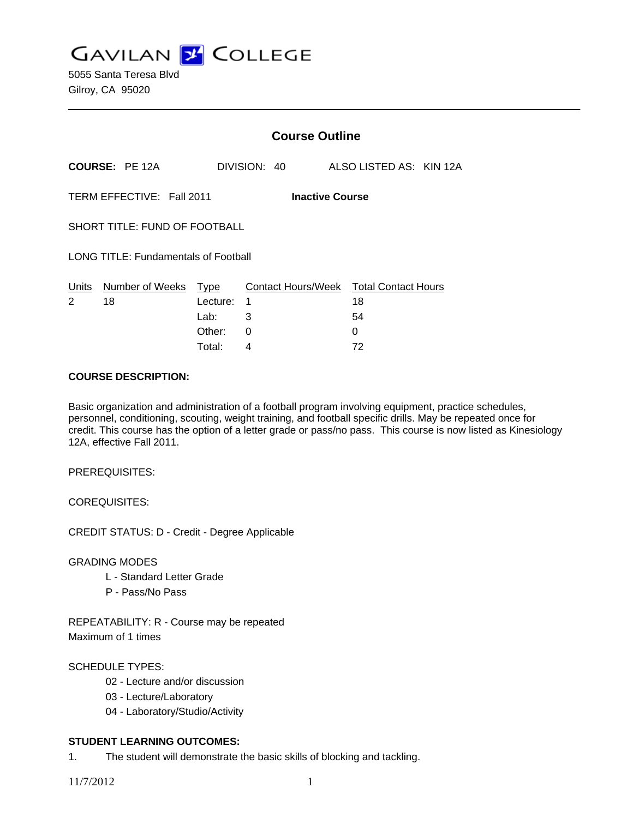**GAVILAN J COLLEGE** 

|                                                     |                       | <b>Course Outline</b> |              |  |                                              |                         |  |  |
|-----------------------------------------------------|-----------------------|-----------------------|--------------|--|----------------------------------------------|-------------------------|--|--|
|                                                     | <b>COURSE: PE 12A</b> |                       | DIVISION: 40 |  |                                              | ALSO LISTED AS: KIN 12A |  |  |
| TERM EFFECTIVE: Fall 2011<br><b>Inactive Course</b> |                       |                       |              |  |                                              |                         |  |  |
| SHORT TITLE: FUND OF FOOTBALL                       |                       |                       |              |  |                                              |                         |  |  |
| <b>LONG TITLE: Fundamentals of Football</b>         |                       |                       |              |  |                                              |                         |  |  |
| Units<br>2                                          | Number of Weeks<br>18 | Type<br>Lecture:      | 1            |  | Contact Hours/Week Total Contact Hours<br>18 |                         |  |  |
|                                                     |                       | Lab:                  | 3            |  |                                              | 54                      |  |  |
|                                                     |                       | Other:                | 0            |  |                                              | 0                       |  |  |
|                                                     |                       | Total:                | 4            |  |                                              | 72                      |  |  |

### **COURSE DESCRIPTION:**

Basic organization and administration of a football program involving equipment, practice schedules, personnel, conditioning, scouting, weight training, and football specific drills. May be repeated once for credit. This course has the option of a letter grade or pass/no pass. This course is now listed as Kinesiology 12A, effective Fall 2011.

PREREQUISITES:

COREQUISITES:

CREDIT STATUS: D - Credit - Degree Applicable

GRADING MODES

- L Standard Letter Grade
- P Pass/No Pass

REPEATABILITY: R - Course may be repeated Maximum of 1 times

## SCHEDULE TYPES:

- 02 Lecture and/or discussion
- 03 Lecture/Laboratory
- 04 Laboratory/Studio/Activity

## **STUDENT LEARNING OUTCOMES:**

1. The student will demonstrate the basic skills of blocking and tackling.

11/7/2012 1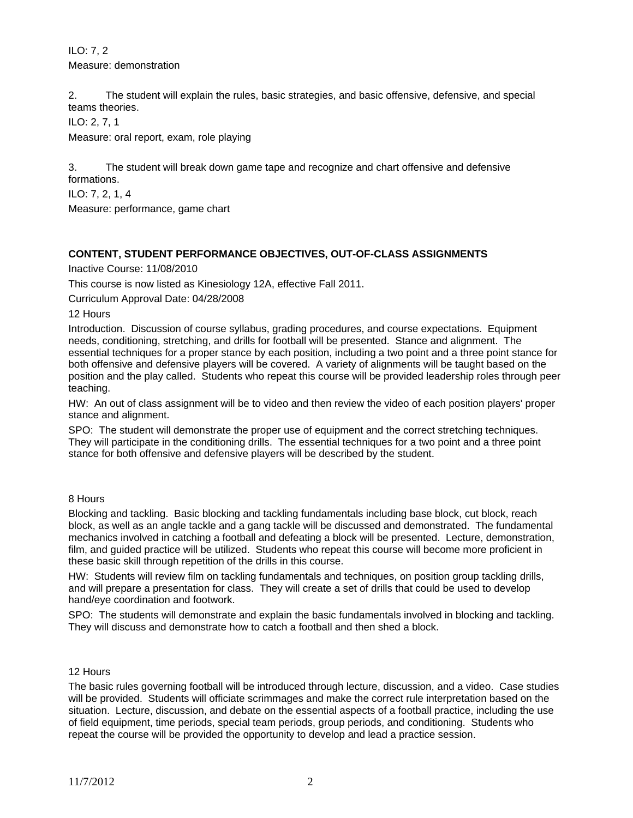ILO: 7, 2 Measure: demonstration

2. The student will explain the rules, basic strategies, and basic offensive, defensive, and special teams theories.

ILO: 2, 7, 1

Measure: oral report, exam, role playing

3. The student will break down game tape and recognize and chart offensive and defensive formations.

ILO: 7, 2, 1, 4

Measure: performance, game chart

# **CONTENT, STUDENT PERFORMANCE OBJECTIVES, OUT-OF-CLASS ASSIGNMENTS**

Inactive Course: 11/08/2010

This course is now listed as Kinesiology 12A, effective Fall 2011.

Curriculum Approval Date: 04/28/2008

12 Hours

Introduction. Discussion of course syllabus, grading procedures, and course expectations. Equipment needs, conditioning, stretching, and drills for football will be presented. Stance and alignment. The essential techniques for a proper stance by each position, including a two point and a three point stance for both offensive and defensive players will be covered. A variety of alignments will be taught based on the position and the play called. Students who repeat this course will be provided leadership roles through peer teaching.

HW: An out of class assignment will be to video and then review the video of each position players' proper stance and alignment.

SPO: The student will demonstrate the proper use of equipment and the correct stretching techniques. They will participate in the conditioning drills. The essential techniques for a two point and a three point stance for both offensive and defensive players will be described by the student.

#### 8 Hours

Blocking and tackling. Basic blocking and tackling fundamentals including base block, cut block, reach block, as well as an angle tackle and a gang tackle will be discussed and demonstrated. The fundamental mechanics involved in catching a football and defeating a block will be presented. Lecture, demonstration, film, and guided practice will be utilized. Students who repeat this course will become more proficient in these basic skill through repetition of the drills in this course.

HW: Students will review film on tackling fundamentals and techniques, on position group tackling drills, and will prepare a presentation for class. They will create a set of drills that could be used to develop hand/eye coordination and footwork.

SPO: The students will demonstrate and explain the basic fundamentals involved in blocking and tackling. They will discuss and demonstrate how to catch a football and then shed a block.

#### 12 Hours

The basic rules governing football will be introduced through lecture, discussion, and a video. Case studies will be provided. Students will officiate scrimmages and make the correct rule interpretation based on the situation. Lecture, discussion, and debate on the essential aspects of a football practice, including the use of field equipment, time periods, special team periods, group periods, and conditioning. Students who repeat the course will be provided the opportunity to develop and lead a practice session.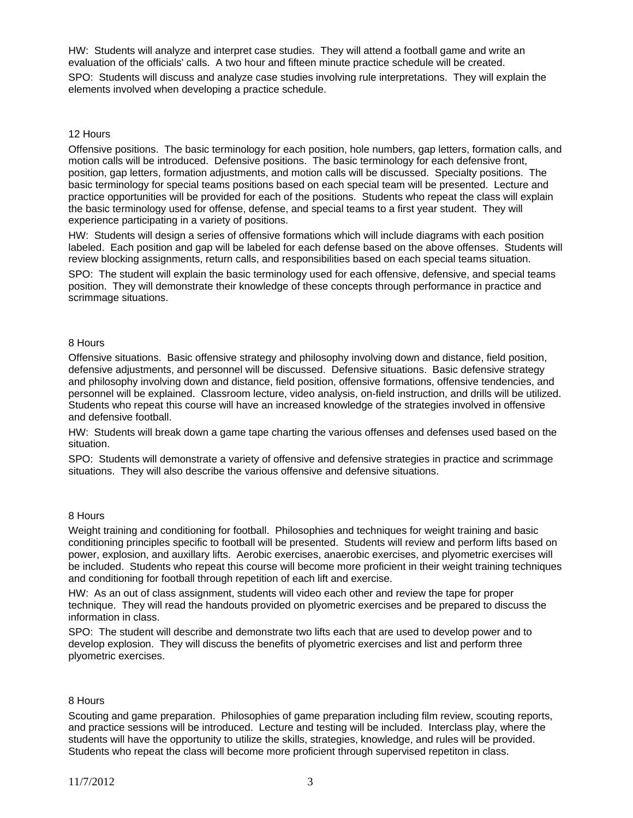HW: Students will analyze and interpret case studies. They will attend a football game and write an evaluation of the officials' calls. A two hour and fifteen minute practice schedule will be created.

SPO: Students will discuss and analyze case studies involving rule interpretations. They will explain the elements involved when developing a practice schedule.

#### 12 Hours

Offensive positions. The basic terminology for each position, hole numbers, gap letters, formation calls, and motion calls will be introduced. Defensive positions. The basic terminology for each defensive front, position, gap letters, formation adjustments, and motion calls will be discussed. Specialty positions. The basic terminology for special teams positions based on each special team will be presented. Lecture and practice opportunities will be provided for each of the positions. Students who repeat the class will explain the basic terminology used for offense, defense, and special teams to a first year student. They will experience participating in a variety of positions.

HW: Students will design a series of offensive formations which will include diagrams with each position labeled. Each position and gap will be labeled for each defense based on the above offenses. Students will review blocking assignments, return calls, and responsibilities based on each special teams situation.

SPO: The student will explain the basic terminology used for each offensive, defensive, and special teams position. They will demonstrate their knowledge of these concepts through performance in practice and scrimmage situations.

### 8 Hours

Offensive situations. Basic offensive strategy and philosophy involving down and distance, field position, defensive adjustments, and personnel will be discussed. Defensive situations. Basic defensive strategy and philosophy involving down and distance, field position, offensive formations, offensive tendencies, and personnel will be explained. Classroom lecture, video analysis, on-field instruction, and drills will be utilized. Students who repeat this course will have an increased knowledge of the strategies involved in offensive and defensive football.

HW: Students will break down a game tape charting the various offenses and defenses used based on the situation.

SPO: Students will demonstrate a variety of offensive and defensive strategies in practice and scrimmage situations. They will also describe the various offensive and defensive situations.

#### 8 Hours

Weight training and conditioning for football. Philosophies and techniques for weight training and basic conditioning principles specific to football will be presented. Students will review and perform lifts based on power, explosion, and auxillary lifts. Aerobic exercises, anaerobic exercises, and plyometric exercises will be included. Students who repeat this course will become more proficient in their weight training techniques and conditioning for football through repetition of each lift and exercise.

HW: As an out of class assignment, students will video each other and review the tape for proper technique. They will read the handouts provided on plyometric exercises and be prepared to discuss the information in class.

SPO: The student will describe and demonstrate two lifts each that are used to develop power and to develop explosion. They will discuss the benefits of plyometric exercises and list and perform three plyometric exercises.

#### 8 Hours

Scouting and game preparation. Philosophies of game preparation including film review, scouting reports, and practice sessions will be introduced. Lecture and testing will be included. Interclass play, where the students will have the opportunity to utilize the skills, strategies, knowledge, and rules will be provided. Students who repeat the class will become more proficient through supervised repetiton in class.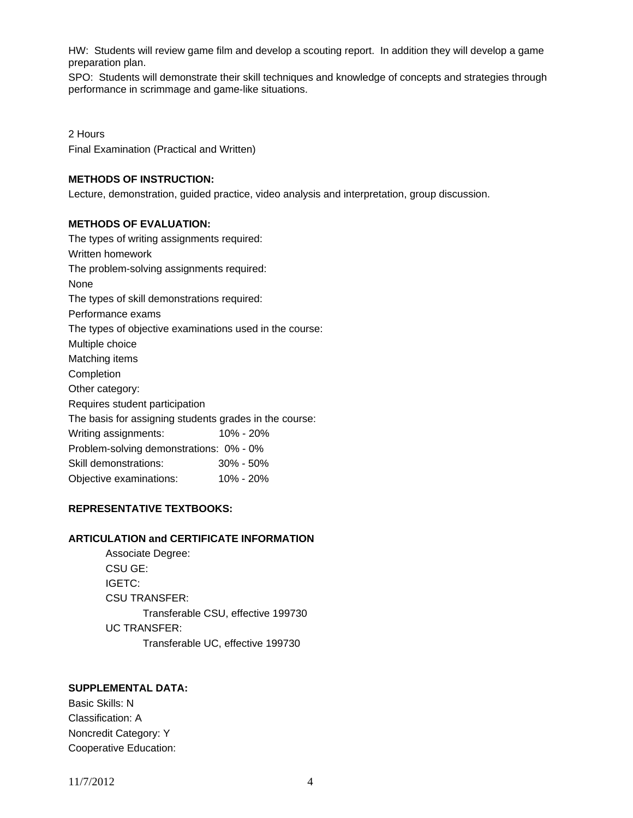HW: Students will review game film and develop a scouting report. In addition they will develop a game preparation plan.

SPO: Students will demonstrate their skill techniques and knowledge of concepts and strategies through performance in scrimmage and game-like situations.

2 Hours Final Examination (Practical and Written)

## **METHODS OF INSTRUCTION:**

Lecture, demonstration, guided practice, video analysis and interpretation, group discussion.

## **METHODS OF EVALUATION:**

The types of writing assignments required: Written homework The problem-solving assignments required: None The types of skill demonstrations required: Performance exams The types of objective examinations used in the course: Multiple choice Matching items Completion Other category: Requires student participation The basis for assigning students grades in the course: Writing assignments: 10% - 20% Problem-solving demonstrations: 0% - 0% Skill demonstrations: 30% - 50% Objective examinations: 10% - 20%

## **REPRESENTATIVE TEXTBOOKS:**

#### **ARTICULATION and CERTIFICATE INFORMATION**

 Associate Degree: CSU GE: IGETC: CSU TRANSFER: Transferable CSU, effective 199730 UC TRANSFER: Transferable UC, effective 199730

# **SUPPLEMENTAL DATA:**

Basic Skills: N Classification: A Noncredit Category: Y Cooperative Education: